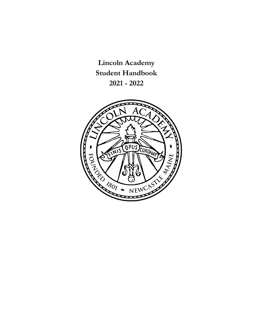**Lincoln Academy Student Handbook 2021 - 2022**

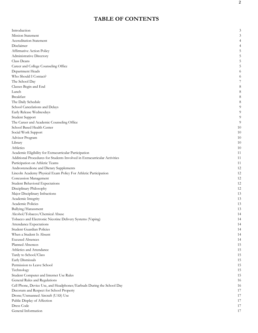# **TABLE OF CONTENTS**

| Introduction                                                              | 3  |
|---------------------------------------------------------------------------|----|
| <b>Mission Statement</b>                                                  |    |
| <b>Accreditation Statement</b>                                            |    |
| Disclaimer                                                                |    |
| Affirmative Action Policy                                                 |    |
| Administrative Directory                                                  |    |
| Class Deans                                                               |    |
| Career and College Counseling Office                                      |    |
| Department Heads                                                          | 0  |
| Who Should I Contact?                                                     |    |
| The School Day                                                            |    |
| Classes Begin and End                                                     |    |
| Lunch                                                                     |    |
| <b>Breakfast</b>                                                          | 8  |
| The Daily Schedule                                                        | 8  |
| School Cancelations and Delays                                            |    |
| Early Release Wednesdays                                                  |    |
| Student Support                                                           | 9  |
| The Career and Academic Counseling Office                                 | 9  |
| School Based Health Center                                                | 10 |
| Social Work Support                                                       | 10 |
| Advisor Program                                                           | 10 |
| Library                                                                   | 10 |
| Athletics                                                                 | 10 |
| Academic Eligibility for Extracurricular Participation                    | 11 |
| Additional Procedures for Students Involved in Extracurricular Activities | 11 |
| Participation on Athletic Teams                                           | 11 |
| Androstenedione and Dietary Supplements                                   | 12 |
| Lincoln Academy Physical Exam Policy For Athletic Participation           | 12 |
| Concussion Management                                                     | 12 |
| <b>Student Behavioral Expectations</b>                                    | 12 |
| Disciplinary Philosophy                                                   | 12 |
| Major Disciplinary Infractions                                            | 13 |
| Academic Integrity                                                        | 13 |
| Academic Policies                                                         | 13 |
| Bullying/Harassment                                                       | 13 |
| Alcohol/Tobacco/Chemical Abuse                                            | 14 |
| Tobacco and Electronic Nicotine Delivery Systems (Vaping)                 | 14 |
| Attendance Expectations                                                   | 14 |
| Student Guardian Policies                                                 | 14 |
| When a Student Is Absent                                                  | 14 |
| <b>Excused Absences</b>                                                   | 14 |
| Planned Absences                                                          | 15 |
| Athletics and Attendance                                                  | 15 |
| Tardy to School/Class                                                     | 15 |
| Early Dismissals                                                          | 15 |
| Permission to Leave School                                                | 15 |
| Technology                                                                | 15 |
| Student Computer and Internet Use Rules                                   | 15 |
| General Rules and Regulations                                             | 16 |
| Cell Phone, Device Use, and Headphones/Earbuds During the School Day      | 16 |
| Decorum and Respect for School Property                                   | 17 |
| Drone/Unmanned Aircraft (UAS) Use                                         | 17 |
| Public Display of Affection                                               | 17 |
| Dress Code                                                                | 17 |
| General Information                                                       | 17 |
|                                                                           |    |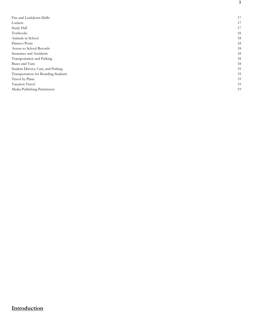| Fire and Lockdown Drills             | 17 |
|--------------------------------------|----|
| Lockers                              | 17 |
| Study Hall                           | 17 |
| Textbooks                            | 18 |
| Animals in School                    | 18 |
| Dances/Prom                          | 18 |
| Access to School Records             | 18 |
| Insurance and Accidents              | 18 |
| Transportation and Parking           | 18 |
| Buses and Vans                       | 18 |
| Student Drivers, Cars, and Parking   | 19 |
| Transportation for Boarding Students | 19 |
| Travel by Plane                      | 19 |
| Vacation Travel                      | 19 |
| Media Publishing Permission          | 19 |

# **Introduction**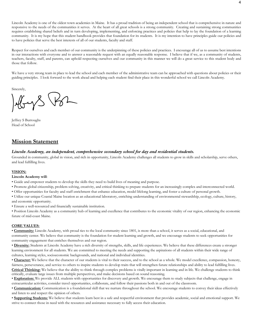Lincoln Academy is one of the oldest town academies in Maine. It has a proud tradition of being an independent school that is comprehensive in nature and responsive to the needs of the communities it serves. At the heart of all great schools is a strong community. Creating and sustaining strong communities requires establishing shared beliefs and in turn developing, implementing, and enforcing practices and policies that help to lay the foundation of a learning community. It is my hope that this student handbook provides that foundation for its students. It is my intention to have principles guide our policies and to have policies that serve the best interests of all of our students, faculty and staff.

Respect for ourselves and each member of our community is the underpinning of these policies and practices. I encourage all of us to assume best intentions in our interactions with everyone and to answer a reasonable request with an equally reasonable response. I believe that if we, as a community of students, teachers, faculty, staff, and parents, can uphold respecting ourselves and our community in this manner we will do a great service to this student body and those that follow.

We have a very strong team in place to lead the school and each member of the administrative team can be approached with questions about policies or their guiding principles. I look forward to the work ahead and helping each student find their place in this wonderful school we call Lincoln Academy.

Sincerely,

Jeffrey S Burroughs Head of School

### **Mission Statement**

#### *Lincoln Academy, an independent, comprehensive secondary school for day and residential students.*

Grounded in community, global in vision, and rich in opportunity, Lincoln Academy challenges all students to grow in skills and scholarship, serve others, and lead fulfilling lives.

#### **VISION:**

#### **Lincoln Academy will**:

- Guide and empower students to develop the skills they need to build lives of meaning and purpose.
- Promote global citizenship, problem solving, creativity, and critical thinking to prepare students for an increasingly complex and interconnected world.
- Offer opportunities for faculty and staff enrichment that enhance education, model lifelong learning, and foster a culture of personal growth.

• Utilize our unique Coastal Maine location as an educational laboratory, enriching understanding of environmental stewardship, ecology, culture, history, and economic opportunity.

• Ensure a well-resourced and financially sustainable institution.

• Position Lincoln Academy as a community hub of learning and excellence that contributes to the economic vitality of our region, enhancing the economic future of mid-coast Maine.

#### **CORE VALUES:**

• **Community:** Lincoln Academy, with proud ties to the local community since 1801, is more than a school, it serves as a social, educational, and community center. We believe that community is the foundation for student learning and growth, and we encourage students to seek opportunities for community engagement that enriches themselves and our region.

• **Diversity:** Students at Lincoln Academy have a rich diversity of strengths, skills, and life experiences. We believe that these differences create a stronger learning environment for all students. We are committed to meeting the needs and supporting the aspirations of all students within their wide range of cultures, learning styles, socioeconomic backgrounds, and national and individual identities.

• **Character:** We believe that the character of our students is vital to their success, and to the school as a whole. We model excellence, compassion, honesty, fairness, perseverance, and service to others to inspire students to develop traits that will strengthen future relationships and ability to lead fulfilling lives. **Critical Thinking:** We believe that the ability to think through complex problems is vitally important in learning and in life. We challenge students to think critically, evaluate large issues from multiple perspectives, and make decisions based on sound reasoning.

• **Exploration:** We provide ALL students with opportunities for discovery and growth. We encourage them to study subjects that challenge, engage in extracurricular activities, consider travel opportunities, collaborate, and follow their passions both in and out of the classroom.

• **Communication:** Communication is a foundational skill that we nurture throughout the school. We encourage students to convey their ideas effectively and listen to and respect the opinion of others.

• **Supporting Students:** We believe that students learn best in a safe and respectful environment that provides academic, social and emotional support. We strive to connect those in need with the resources and assistance necessary to fully access their education.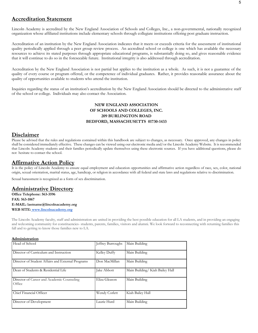# **Accreditation Statement**

Lincoln Academy is accredited by the New England Association of Schools and Colleges, Inc., a non-governmental, nationally recognized organization whose affiliated institutions include elementary schools through collegiate institutions offering post graduate instruction.

Accreditation of an institution by the New England Association indicates that it meets or exceeds criteria for the assessment of institutional quality periodically applied through a peer group review process. An accredited school or college is one which has available the necessary resources to achieve its stated purposes through appropriate educational programs, is substantially doing so, and gives reasonable evidence that it will continue to do so in the foreseeable future. Institutional integrity is also addressed through accreditation.

Accreditation by the New England Association is not partial but applies to the institution as a whole. As such, it is not a guarantee of the quality of every course or program offered, or the competence of individual graduates. Rather, it provides reasonable assurance about the quality of opportunities available to students who attend the institution.

Inquiries regarding the status of an institution's accreditation by the New England Association should be directed to the administrative staff of the school or college. Individuals may also contact the Association.

### **NEW ENGLAND ASSOCIATION OF SCHOOLS AND COLLEGES, INC. 209 BURLINGTON ROAD BEDFORD, MASSACHUSETTS 01730-1433**

# **Disclaimer**

Please be advised that the rules and regulations contained within this handbook are subject to changes, as necessary. Once approved, any changes in policy shall be considered immediately effective. These changes can be viewed using our electronic media and/or the Lincoln Academy Website. It is recommended that Lincoln Academy students and their families periodically update themselves using these electronic sources. If you have additional questions, please do not hesitate to contact the school.

# **Affirmative Action Policy**

It is the policy of Lincoln Academy to ensure equal employment and education opportunities and affirmative action regardless of race, sex, color, national origin, sexual orientation, marital status, age, handicap, or religion in accordance with all federal and state laws and regulations relative to discrimination.

Sexual harassment is recognized as a form of sex discrimination.

### **Administrative Directory**

**Office Telephone: 563-3596 FAX: 563-1067 E-MAIL: lastname@lincolnacademy.org WEB SITE: www.lincolnacademy.org**

The Lincoln Academy faculty, staff and administration are united in providing the best possible education for all LA students, and in providing an engaging and welcoming community for constituencies- students, parents, families, visitors and alumni. We look forward to reconnecting with returning families this fall and to getting to know those families new to LA.

#### **Administration**

| Head of School                                       | Jeffrey Burroughs | Main Building                  |
|------------------------------------------------------|-------------------|--------------------------------|
| Director of Curriculum and Instruction               | Kelley Duffy      | Main Building                  |
| Director of Student Affairs and External Programs    | Don MacMillan     | Main Building                  |
| Dean of Students & Residential Life                  | Jake Abbott       | Main Building/Kiah Bailey Hall |
| Director of Career and Academic Counseling<br>Office | Eliza Gleason     | Main Building                  |
| Chief Financial Officer                              | Wendy Corlett     | Kiah Bailey Hall               |
| Director of Development                              | Laurie Hurd       | Main Building                  |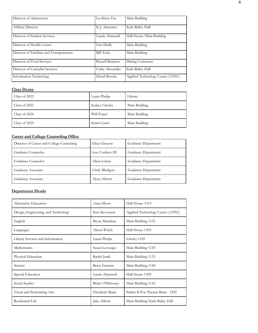| Director of Admissions                    | Lu-Shien Tan            | Main Building                    |
|-------------------------------------------|-------------------------|----------------------------------|
| Athletic Director                         | K.J. Anastasio          | Kiah Bailey Hall                 |
| Director of Student Services              | Laurie Zimmerli         | Hall House/Main Building         |
| Director of Health Center                 | Eric Duffy              | Main Building                    |
| Director of Facilities and Transportation | <b>Bill Teele</b>       | Main Building                    |
| Director of Food Services                 | <b>Russell Brackett</b> | Dining Commons                   |
| Director of Custodial Services            | Cathy Alexander         | Kiah Bailey Hall                 |
| Information Technology                    | David Brooks            | Applied Technology Center (ATEC) |

## **Class Deans**

| Class of 2022   | Laura Phelps  | Library       |
|-----------------|---------------|---------------|
| Class of $2023$ | Kelcey Cheska | Main Building |
| Class of 2024   | Will Fraser   | Main Building |
| Class of 2025   | Kristi Curtis | Main Building |

# **Career and College Counseling Office**

| Director of Career and College Counseling | Eliza Gleason    | Guidance Department |
|-------------------------------------------|------------------|---------------------|
| Guidance Counselor                        | Jose Cordero III | Guidance Department |
| Guidance Counselor                        | Alicia Lemar     | Guidance Department |
| Guidance Associate                        | Cindy Blodgett   | Guidance Department |
| Guidance Associate                        | Alexa Abbott     | Guidance Department |

# **Department Heads**

| Alternative Education               | Anna Myers           | Hall House 1314                  |
|-------------------------------------|----------------------|----------------------------------|
| Design, Engineering, and Technology | Ken Stevenson        | Applied Technology Center (ATEC) |
| English                             | Bryan Manahan        | Main Building 1135               |
| Languages                           | Alison Welch         | Hall House 1303                  |
| Library Services and Information    | Laura Phelps         | Library 1109                     |
| Mathematics                         | Susan Levesque       | Main Building 1130               |
| Physical Education                  | Radek Janik          | Main Building 1123               |
| Science                             | <b>Betsy Grannis</b> | Main Building 1140               |
| Special Education                   | Laurie Zimmerli      | Hall House 1309                  |
| Social Studies                      | Brian O'Mahoney      | Main Building 1116               |
| Visual and Performing Arts          | Elizabeth Matta      | Parker B Poe Theater Bsmt. 1202  |
| Residential Life                    | Jake Abbott          | Main Building/Kiah Bailey Hall   |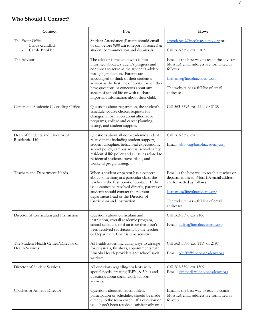# **Who Should I Contact?**

| Contact:                                                        | For:                                                                                                                                                                                                                                                                                                                                                                                        | How:                                                                                                                                                                                                  |
|-----------------------------------------------------------------|---------------------------------------------------------------------------------------------------------------------------------------------------------------------------------------------------------------------------------------------------------------------------------------------------------------------------------------------------------------------------------------------|-------------------------------------------------------------------------------------------------------------------------------------------------------------------------------------------------------|
| The Front Office<br>Lynda Gundlach<br>Carole Brinkler           | Student Attendance (Parents should email<br>or call before 9:00 am to report absences) &<br>student communication and dismissals                                                                                                                                                                                                                                                            | attendance@lincolnacademy.org or<br>Call 563-3596 ext. 2103                                                                                                                                           |
| The Advisor                                                     | The advisor is the adult who is best<br>informed about a student's progress and<br>continues to serve as the student's advisor<br>through graduation. Parents are<br>encouraged to think of their student's<br>advisor as the first line of contact when they<br>have questions or concerns about any<br>aspect of school life or wish to share<br>important information about their child. | Email is the best way to reach the advisor.<br>Most LA email address are formatted as<br>follows:<br>lastname@lincolnacademy.org<br>The website has a full list of email<br>addresses.                |
| Career and Academic Counseling Office                           | Questions about registration, the student's<br>schedule, course choice, requests for<br>changes, information about alternative<br>programs, college and career planning,<br>testing, and student support.                                                                                                                                                                                   | Call 563-3596 ext. 1111 or 2128                                                                                                                                                                       |
| Dean of Students and Director of<br>Residential Life            | Questions about all non-academic student<br>related items including student support,<br>student discipline, behavioral expectations,<br>school policy, campus access, school safety,<br>residential life policy and all issues related to<br>residential students, travel plans, and<br>weekend programming.                                                                                | Call 563-3596 ext. 2222<br>Email: jabbott@lincolnacademy.org                                                                                                                                          |
| Teachers and Department Heads                                   | When a student or parent has a concern<br>about something in a particular class, the<br>teacher is the first point of contact. If the<br>issue cannot be resolved directly, parents or<br>students should contact the relevant<br>department head or the Director of<br>Curriculum and Instruction                                                                                          | Email is the best way to reach a teacher or<br>department head Most LA email address<br>are formatted as follows:<br>lastname@lincolnacademy.org<br>The website has a full list of email<br>addresses |
| Director of Curriculum and Instruction                          | Questions about curriculum and<br>instruction, overall academic program,<br>school schedule, or if an issue that hasn't<br>been resolved satisfactorily by the teacher<br>or Department Chair is time sensitive.                                                                                                                                                                            | Call 563-3596 ext 2106<br>Email: duffy@lincolnacademy.org                                                                                                                                             |
| The Student Health Center/Director of<br><b>Health Services</b> | All health issues, including ways to arrange<br>for physicals, flu shots, appointments with<br>Lincoln Health providers and school social<br>workers.                                                                                                                                                                                                                                       | Call 563-3596 ext. 1119 or 2197<br>Email: eduffy@lincolnacademy.org                                                                                                                                   |
| Director of Student Services                                    | All questions regarding students with<br>special needs, creating IEP's, & 504's and<br>questions about social work support<br>services.                                                                                                                                                                                                                                                     | Call 563-3596 ext 1309<br>Email: zimmerli@lincolnacademy.org                                                                                                                                          |
| Coaches or Athletic Director                                    | Questions about athletics, athletic<br>participation or schedules, should be made<br>directly to the team coach. If a question or<br>issue hasn't been resolved satisfactorily or is                                                                                                                                                                                                        | Email is the best way to reach a coach<br>Most LA email address are formatted as<br>follows:                                                                                                          |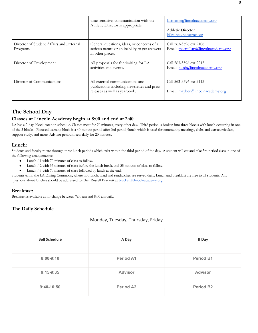|                                                      | time sensitive, communication with the<br>Athletic Director is appropriate.                                     | lastname@lincolnacademy.org<br>Athletic Director:<br>kj@lincolnacaemy.org |
|------------------------------------------------------|-----------------------------------------------------------------------------------------------------------------|---------------------------------------------------------------------------|
| Director of Student Affairs and External<br>Programs | General questions, ideas, or concerns of a<br>serious nature or an inability to get answers<br>in other places. | Call 563-3596 ext 2108<br>Email: macmillan@lincolnacademy.org             |
| Director of Development                              | All proposals for fundraising for LA<br>activities and events.                                                  | Call 563-3596 ext 2215<br>Email: hurd@lincolnacademy.org                  |
| Director of Communications                           | All external communications and<br>publications including newsletter and press<br>releases as well as yearbook. | Call 563-3596 ext 2112<br>Email: mayher@lincolnacademy.org                |

# **The School Day**

### **Classes at Lincoln Academy begin at 8:00 and end at 2:40.**

LA has a 2-day, block-rotation schedule. Classes meet for 70 minutes, every other day. Third period is broken into three blocks with lunch occurring in one of the 3 blocks. Focused learning block is a 40-minute period after 3rd period/lunch which is used for community meetings, clubs and extracurriculars, support study, and more. Advisor period meets daily for 20 minutes.

### **Lunch:**

Students and faculty rotate through three lunch periods which exist within the third period of the day. A student will eat and take 3rd period class in one of the following arrangements:

- Lunch #1 with 70 minutes of class to follow.
- Lunch #2 with 35 minutes of class before the lunch break, and 35 minutes of class to follow.
- Lunch #3 with 70 minutes of class followed by lunch at the end.

Students eat in the LA Dining Commons, where hot lunch, salad and sandwiches are served daily. Lunch and breakfast are free to all students. Any questions about lunches should be addressed to Chef Russell Brackett at brackett@lincolnacademy.org.

### **Breakfast:**

Breakfast is available at no charge between 7:00 am and 8:00 am daily.

### **The Daily Schedule**

### Monday, Tuesday, Thursday, Friday

| <b>Bell Schedule</b> | A Day            | <b>B</b> Day     |
|----------------------|------------------|------------------|
| $8:00 - 9:10$        | <b>Period A1</b> | <b>Period B1</b> |
| $9:15-9:35$          | <b>Advisor</b>   | <b>Advisor</b>   |
| $9:40-10:50$         | <b>Period A2</b> | <b>Period B2</b> |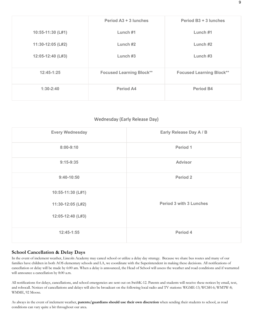|                   | Period A3 + 3 lunches           | Period B3 + 3 lunches           |
|-------------------|---------------------------------|---------------------------------|
| 10:55-11:30 (L#1) | Lunch #1                        | Lunch #1                        |
| 11:30-12:05 (L#2) | Lunch $#2$                      | Lunch $#2$                      |
| 12:05-12:40 (L#3) | Lunch $#3$                      | Lunch $#3$                      |
| $12:45-1:25$      | <b>Focused Learning Block**</b> | <b>Focused Learning Block**</b> |
| $1:30-2:40$       | Period A4                       | <b>Period B4</b>                |

### Wednesday (Early Release Day)

| <b>Every Wednesday</b>                                      | Early Release Day A / B        |
|-------------------------------------------------------------|--------------------------------|
| $8:00-9:10$                                                 | Period 1                       |
| $9:15-9:35$                                                 | <b>Advisor</b>                 |
| $9:40-10:50$                                                | Period 2                       |
| 10:55-11:30 (L#1)<br>11:30-12:05 (L#2)<br>12:05-12:40 (L#3) | <b>Period 3 with 3 Lunches</b> |
| $12:45-1:55$                                                | Period 4                       |

### **School Cancellation & Delay Days**

In the event of inclement weather, Lincoln Academy may cancel school or utilize a delay day strategy. Because we share bus routes and many of our families have children in both AOS elementary schools and LA, we coordinate with the Superintendent in making these decisions. All notifications of cancellation or delay will be made by 6:00 am. When a delay is announced, the Head of School will assess the weather and road conditions and if warranted will announce a cancellation by 8:00 a.m.

All notifications for delays, cancellations, and school emergencies are sent out on SwiftK-12. Parents and students will receive these notices by email, text, and robocall. Notices of cancellations and delays will also be broadcast on the following local radio and TV stations: WGME-13; WCSH-6; WMTW-8; WMME, 92 Moose.

As always in the event of inclement weather, **parents/guardians should use their own discretion** when sending their students to school, as road conditions can vary quite a bit throughout our area.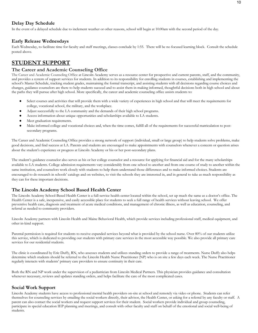## **Delay Day Schedule**

In the event of a delayed schedule due to inclement weather or other reasons, school will begin at 10:00am with the second period of the day.

### **Early Release Wednesdays**

Each Wednesday, to facilitate time for faculty and staff meetings, classes conclude by 1:55. There will be no focused learning block. Consult the schedule posted above.

# **STUDENT SUPPORT**

### **The Career and Academic Counseling Office**

The Career and Academic Counseling Office at Lincoln Academy serves as a resource center for prospective and current parents, staff, and the community, and provides a system of support services for students. In addition to its responsibility for enrolling students in courses, establishing and implementing the school's Master Schedule, tracking student grades, maintaining the formal transcript, and assisting students with all decisions regarding course choices and changes, guidance counselors are there to help students succeed and to assist them in making informed, thoughtful decisions both in high school and about the paths they will pursue after high school. More specifically, the career and academic counseling office assists students to:

- Select courses and activities that will provide them with a wide variety of experiences in high school and that will meet the requirements for college, vocational school, the military, and the workplace.
- Adjust successfully to the LA community and the demands of their high school programs.
- Access information about unique opportunities and scholarships available to LA students.
- Meet graduation requirements.
- Make informed college and vocational choices and, when the time comes, fulfill all of the requirements for successful matriculation to postsecondary programs.

The Career and Academic Counseling Office provides a strong network of support (individual, small or large group) to help students solve problems, make good decisions, and find success at LA. Parents and students are encouraged to make appointments with counselors whenever a concern or question arises about the student's experience or progress at Lincoln Academy or his or her post-secondary plans.

The student's guidance counselor also serves as his or her college counselor and a resource for applying for financial aid and for the many scholarships available to LA students. College admission requirements vary considerably from one school to another and from one course of study to another within the same institution, and counselors work closely with students to help them understand those differences and to make informed choices. Students are encouraged to do research in schools' catalogs and on websites, to visit the schools they are interested in, and in general to take as much responsibility as they can for these important decisions.

### **The Lincoln Academy School Based Health Center**

The Lincoln Academy School-Based Health Center is a full-service health center located within the school, set up much the same as a doctor's office. The Health Center is a safe, inexpensive, and easily accessible place for students to seek a full range of health services without leaving school. We offer preventive health care, diagnosis and treatment of acute medical conditions, and management of chronic illness, as well as education, counseling, and referral as needed to community providers.

Lincoln Academy partners with Lincoln Health and Maine Behavioral Health, which provide services including professional staff, medical equipment, and other in-kind support.

Parental permission is required for students to receive expanded services beyond what is provided by the school nurse. Over 80% of our students utilize this service, which is dedicated to providing our students with primary care services in the most accessible way possible. We also provide all primary care services for our residential students.

The clinic is coordinated by Eric Duffy, RN, who assesses students and utilizes standing orders to provide a range of treatments. Nurse Duffy also helps determine which students should be referred to the Lincoln Health Nurse Practitioner (NP) who is on site a few days each week. The Nurse Practitioner regularly interacts with students' primary care providers to ensure continuity in their care.

Both the RN and NP work under the supervision of a pediatrician from Lincoln Medical Partners. This physician provides guidance and consultation whenever necessary, reviews and updates standing orders, and helps facilitate the care of the most complicated cases.

### **Social Work Support**

Lincoln Academy students have access to professional mental health providers on-site at school and remotely via video or phone. Students can refer themselves for counseling services by emailing the social workers directly, their advisor, the Health Center, or asking for a referral by any faculty or staff. A parent can also contact the social workers and request support services for their student. Social workers provide individual and group counseling, participate in special education IEP planning and meetings, and consult with other faculty and staff on behalf of the emotional and social well-being of students.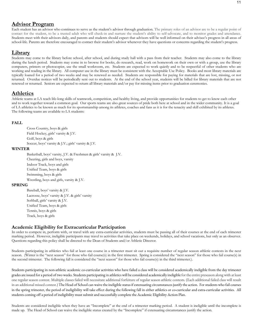# **Advisor Program**

Each student has an advisor who continues to serve as the student's advisor through graduation. The primary roles of an advisor are to be a regular point of contact for the student, to be a trusted adult who will check-in and nurture the student's ability to self-advocate, and to monitor grades and attendance. Students meet with their advisors daily, and parents and students should expect that advisors will be well informed on their advisee's progress in all areas of school-life. Parents are therefore encouraged to contact their student's advisor whenever they have questions or concerns regarding the student's progress.

# **Library**

Students may come to the library before school, after school, and during study hall with a pass from their teacher. Students may also come to the library during the lunch period. Students may come in to browse for books, do research, read, work on homework on their own or with a group, use the library computers, printers or photocopier, use the small workroom, etc. Students are expected to work quietly and to be respectful of other students who are working and reading in the library. All computer use in the library must be consistent with the Acceptable Use Policy. Books and most library materials are typically loaned for a period of two weeks and may be renewed as needed. Students are responsible for paying for materials that are lost, missing, or not returned. Overdue notices will be periodically sent out to students. At the end of the school year, students will be billed for library materials that are not renewed or returned. Seniors are expected to return all library materials and/or pay for missing items prior to graduation ceremonies.

# **Athletics**

Athletic teams at LA teach life-long skills of teamwork, competition, and healthy living, and provide opportunities for students to get to know each other and to work together toward a common goal. Our sports teams are also great sources of pride both here at school and in the wider community. It is a goal of LA athletics to be known as much for its sportsmanship among its athletes, coaches and fans as it is for the tenacity and skill exhibited by its athletes. The following teams are available to LA students:

### **FALL**

Cross Country, boys & girls Field Hockey, girls' varsity & J.V. Golf, boys & girls Soccer, boys' varsity & J.V.; girls' varsity & J.V.

#### **WINTER**

Basketball, boys' varsity, J.V. & Freshmen & girls' varsity & J.V. Cheering, girls and boys, varsity Indoor Track, boys and girls Unified Team, boys & girls Swimming, boys & girls Wrestling, boys and girls, varsity & J.V.

### **SPRING**

Baseball, boys' varsity & J.V. Lacrosse, boys' varsity & J.V. & girls' varsity Softball, girls' varsity & J.V. Unified Team, boys & girls Tennis, boys & girls Track, boys & girls

### **Academic Eligibility for Extracurricular Participation**

In order to compete in, perform with, or travel with any extra-curricular activities, students must be passing all of their courses at the end of each trimester marking period. However, ineligible participants may travel to activities that take place on weekends, holidays, and school vacations, but only as an observer. Questions regarding this policy shall be directed to the Dean of Students and/or Athletic Director.

Students participating in athletics who fail at least one course in a trimester must sit out a requisite number of regular season athletic contests in the next season. (Winter is the "next season" for those who fail course(s) in the first trimester. Spring is considered the "next season" for those who fail course(s) in the second trimester. The following fall is considered the "next season" for those who fail course(s) in the third trimester.).

Students participating in non-athletic academic co-curricular activities who have failed a class will be considered academically ineligible from the day trimester grades are issued for a period of two weeks. Students participating in athleticswill be considered academically ineligiblefor the entire preseason along with at least one regular season contest. Multiple classes failed will necessitate additional forfeiture of regular season athletic contests. (Each additional failed class will result in an additional missed contest.) The Head of School can waive the ineligible status if extenuating circumstances justify the action. For students who fail courses in the spring trimester, the period of ineligibility will take effect during the following fall in either athletics or co-curricular and extra-curricular activities. All students coming off a period of ineligibility must submit and successfully complete the Academic Eligibility Action Plan.

Students are considered ineligible when they have an "Incomplete" at the end of a trimester marking period. A student is ineligible until the incomplete is made up. The Head of School can waive the ineligible status created by the "Incomplete" if extenuating circumstances justify the action.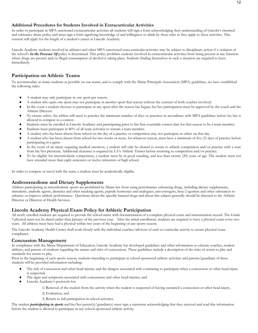### **Additional Procedures for Students Involved in Extracurricular Activities**

In order to participate in MPA sanctioned extracurricular activities all students will sign a form acknowledging their understanding of Lincoln's chemical and substance abuse policy and must sign a form signifying knowledge of and willingness to abide by these rules as they apply to these activities. This consent will apply for the length of a student's career at Lincoln Academy.

Lincoln Academy students involved in athletics and other MPA sanctioned extra-curricular activities may be subject to disciplinary action if a violation of the school's *In the Presence Of* policy is determined. This policy prohibits students involved in extracurricular activities from being present at any function where drugs are present and/or illegal consumption of alcohol is taking place. Students finding themselves in such a situation are required to leave immediately.

### **Participation on Athletic Teams**

To accommodate as many students as possible on our teams, and to comply with the Maine Principals Association (MPA) guidelines, we have established the following rules:

- A student may only participate in one sport per season.
- A student who quits one sport may not participate in another sport that season without the consent of both coaches involved.
- In the event a student chooses to participate in any sport after the season has begun, his/her participation must be approved by the coach and the Athletic Director.
- To ensure safety, the athlete will need to practice the minimum number of days or practices in accordance with MPA guidelines before he/she is allowed to compete in a contest.
- Students must be enrolled at Lincoln Academy and participating prior to the first countable contest date for that season to be a team member.
- Students must participate in 80% of all team activities to remain a team member.
- A student who has been absent from school on the day of a practice or competition may not participate in either on that day.
- A student who has been absent from school for two weeks or more, for whatever reason, must have a minimum of five (5) days of practice before participating in a game.
- In the event of an injury requiring medical attention, a student will only be cleared to return to athletic competition and/or practice with a note from his/her physician. Additional clearance is required by LA's Athletic Trainer before returning to competition and/or practice.
- To be eligible for interscholastic competition, a student must be in good standing, and less than twenty (20) years of age. The student must not have attended more than eight semesters or twelve trimesters of high school.

In order to compete or travel with the team, a student must be academically eligible*.* 

### **Androstenedione and Dietary Supplements**

Athletes participating in interscholastic sports are prohibited by Maine law from using performance enhancing drugs, including dietary supplements, stimulants, anabolic agents, diuretics and other masking agents, peptide hormones and analogues, anti-estrogens, beta-2 agonists and other substances to enhance or improve athletic performance. Questions about the specific banned drugs and about this subject generally should be directed to the Athletic Director or Director of Health Services.

### **Lincoln Academy Physical Exam Policy for Athletic Participation**

All newly enrolled students are required to provide the school nurse with documentation of a complete physical exam and immunization record. The Grade 9 physical must not be dated earlier than January of the previous year. After the initial enrollment, students are required to have a physical exam every two years. All athletes must have had a physical within two years of the beginning of any sports season.

The Lincoln Academy Health Center shall work closely with the individual coaches/advisors of each co-curricular activity to assure physical exam compliance.

### **Concussion Management**

In compliance with the Maine Department of Education, Lincoln Academy has developed guidelines and other information to educate coaches, student athletes, and parents of students regarding the nature and risks of concussions. These guidelines include a description of the risks of return to play and standards for return to play.

Prior to the beginning of each sports season, students intending to participate in school-sponsored athletic activities and parents/guardians of these students will be provided information including:

- The risk of concussion and other head injuries and the dangers associated with continuing to participate when a concussion or other head injury is suspected;
- The signs and symptoms associated with concussions and other head injuries; and
- Lincoln Academy's protocols for:

1) Removal of the student from the activity when the student is suspected of having sustained a concussion or other head injury,

2) Evaluation, and

3) Return to full participation in school activities.

The student *participating in sports* and his/her parent(s)/guardian(s) must sign a statement acknowledging that they received and read this information before the student is allowed to participate in any school-sponsored athletic activity.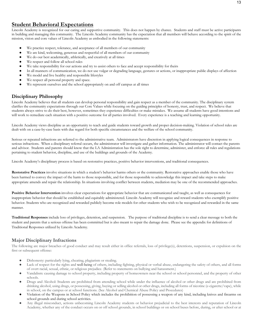# **Student Behavioral Expectations**

Lincoln Academy is recognized for our caring and supportive community. This does not happen by chance. Students and staff must be active participants in building and managing this community. The Lincoln Academy community has the expectation that all members will behave according to the spirit of the mission, vision and core values of Lincoln Academy as embodied in the following statements:

- We practice respect, tolerance, and acceptance of all members of our community
- We are kind, welcoming, generous and respectful of all members of our community
- We do our best academically, athletically, and creatively at all times
- We respect and follow all school rules
- We take responsibility for our actions and try to assist others to face and accept responsibility for theirs
- In all manners of communication, we do not use vulgar or degrading language, gestures or actions, or inappropriate public displays of affection
- We model and live healthy and responsible lifestyles
- We respect all personal property and space.
- We represent ourselves and the school appropriately on and off campus at all times

### **Disciplinary Philosophy**

Lincoln Academy believes that all students can develop personal responsibility and gain respect as a member of the community. The disciplinary system clarifies the community expectations through our Core Values while focusing on the guiding principles of honesty, trust, and respect. We believe that students always strive to do their best, however, sometimes they experience difficulties or make mistakes. We assume all students have good intentions and will work to remediate each situation with a positive outcome for all parties involved. Every experience is a teaching and learning opportunity.

Lincoln Academy views discipline as an opportunity to teach and guide students toward growth and proper decision-making. Violation of school rules are dealt with on a case-by-case basis with due regard for both specific circumstances and the welfare of the school community.

Serious or repeated infractions are referred to the administrative team. Administrators have discretion in applying logical consequences in response to serious infractions. When a disciplinary referral occurs, the administrator will investigate and gather information. The administrator will contact the parents and advisor. Students and parents should know that the LA Administration has the sole right to determine, administer, and enforce all rules and regulations pertaining to student behavior, discipline, and use of the buildings and grounds of the Academy.

Lincoln Academy's disciplinary process is based on restorative practices, positive behavior interventions, and traditional consequences.

**Restorative Practices** involve situations in which a student's behavior harms others or the community. Restorative approaches enable those who have been harmed to convey the impact of the harm to those responsible, and for those responsible to acknowledge this impact and take steps to make appropriate amends and repair the relationship. In situations involving conflict between students, mediation may be one of the recommended approaches.

**Positive Behavior Intervention** involves clear expectations for appropriate behavior that are communicated and taught, as well as consequences for inappropriate behavior that should be established and equitably administered. Lincoln Academy will recognize and reward students who exemplify positive behavior. Students who are recognized and rewarded publicly become role models for other students who wish to be recognized and rewarded in the same manner.

**Traditional Responses** include loss of privileges, detention, and suspension. The purpose of traditional discipline is to send a clear message to both the student and parents that a serious offense has been committed but is also meant to repair the damage done. Please see the appendix for definitions of Traditional Responses utilized by Lincoln Academy.

### **Major Disciplinary Infractions**

The following are major breaches of good conduct and may result either in office referrals, loss of privilege(s), detentions, suspension, or expulsion on the first or subsequent offense:

- Dishonesty: particularly lying, cheating, plagiarism or stealing.
- Lack of respect for the rights and well-being of others, including fighting, physical or verbal abuse, endangering the safety of others, and all forms of overt racial, sexual, ethnic, or religious prejudice. (Refer to statements on bullying and harassment.)
- Vandalism: causing damage to school property, including property of homeowners near the school or school personnel, and the property of other schools.
- Drugs and Alcohol: Students are prohibited from attending school while under the influence of alcohol or other drugs and are prohibited from drinking alcohol, using drugs, or possessing, giving, buying or selling alcohol or other drugs, including all forms of nicotine (e-cigarette/vape), while in school, on the campus or at school functions. (See Alcohol and Chemical Abuse Policy and Procedures)
- Violation of the Weapons in School Policy which includes the prohibition of possessing a weapon of any kind, including knives and firearms on school grounds and during school activities.
- Any illegal misconduct, actions unbecoming Lincoln Academy students or behavior prejudicial to the best interests and reputation of Lincoln Academy, whether any of the conduct occurs on or off school grounds, in school buildings or on school buses before, during, or after school or at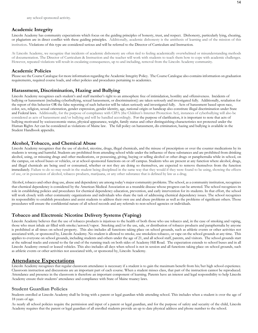### **Academic Integrity**

Lincoln Academy has community expectations which focus on the guiding principles of honesty, trust, and respect. Dishonesty, particularly lying, cheating, or plagiarism are in direct conflict with these guiding principles. Additionally, academic dishonesty is the antithesis of learning and of the mission of this institution. Violations of this type are considered serious and will be referred to the Director of Curriculum and Instruction.

At Lincoln Academy, we recognize that incidents of academic dishonesty are often tied to feeling academically overwhelmed or misunderstanding methods of documentation. The Director of Curriculum & Instruction and the teacher will work with students to teach them how to cope with academic challenges. However, repeated violations will result in escalating consequences, up to and including, removal from the Lincoln Academy community.

#### **Academic Policies**

Please see the Course Catalogue for more information regarding the Academic Integrity Policy. The Course Catalogue also contains information on graduation requirements, required course loads, and other policies and procedures pertaining to academics.

### **Harassment, Discrimination, Hazing and Bullying**

Lincoln Academy recognizes each student's and staff member's right to an atmosphere free of intimidation, hostility and offensiveness. Incidents of bullying or harassment (including cyberbullying, sexual harassment, or discrimination)) are taken seriously and investigated fully. Additionally, retaliation for the report of this behavior OR the false reporting of such behavior will be taken seriously and investigated fully. Acts of harassment based upon race, color, sex, religion, sexual orientation, gender expression, gender identity, age, national origin or handicap also constitute illegal discrimination under State and Federal laws. Additionally, for the purpose of compliance with CIPA (the Children's Internet Protection Act), instances of cyberbullying will also be considered as acts of harassment and/or bullying and will be handled accordingly. For the purpose of clarification, it is important to note that acts of bullying motivated by socioeconomic status, physical appearance, weight, family status and other distinguishing characteristics not protected under the Human Rights Act can be considered as violations of Maine law. The full policy on harassment, dis crimination, hazing and bullying is available in the Student Handbook appendix.

### **Alcohol, Tobacco, and Chemical Abuse**

Lincoln Academy recognizes that the use of alcohol, nicotine, drugs, illegal chemicals, and the misuse of prescription or over the counter medications by its students is wrong and harmful. Students are prohibited from attending school while under the influence of these substances and are prohibited from drinking alcohol, using, or misusing drugs and other medications, or possessing, giving, buying or selling alcohol or other drugs or paraphernalia while in school, on the campus, on school buses or vehicles, or at school-sponsored functions on or off campus. Students who are present at any function where alcohol, drugs, and illegal chemicals are being used or consumed, whether or not they are doing so themselves, are expected to remove themselves from the function immediately. Failure to do so may result in the student being disciplined in the same way that they would if they were found to be using, showing the effects of use, or in possession of alcohol, tobacco products, marijuana, or any other substance that is defined by law as a drug.

Alcohol, tobacco and other drug use, abuse and dependency are among today's major community problems. The school, as a community institution, recognizes that chemical dependency is considered by the American Medical Association as a treatable disease whose progress can be arrested. The school recognizes its role in establishing policies and procedures for chemical dependency education, prevention, and early intervention for its students. In that effort, the school will work closely with other community organizations and individuals who share the task of addressing chemical dependency issues. The school recognizes its responsibility to establish procedures and assist students to address their own use and abuse problems as well as the problems of significant others. Those procedures will ensure the confidential nature of all school records and any referrals to non-school agencies or individuals.

### **Tobacco and Electronic Nicotine Delivery Systems (Vaping)**

Lincoln Academy believes that the use of tobacco products is injurious to the health of both those who use tobacco and, in the case of smoking and vaping, those who must inhale air filled with smoke/aerosol/vapor. Smoking and/or the use, sale, or distribution of tobacco products and paraphernalia by anyone is prohibited at all times on school property. This also includes all functions taking place on school grounds, such as athletic events or other activities not associated with, or sponsored by, Lincoln Academy. No student is allowed to smoke, use smokeless tobacco, or vape on the school grounds at any time. This applies to everyone on school grounds, including students and others under the age of 21, and all school staff, parents, and visitors. The school grounds start at the railroad tracks and extend to the far end of the running track on both sides of Academy Hill Road. The expectation extends to school buses and in all Lincoln Academy owned or leased vehicles. This also includes all days when school is not in session and all functions taking place on school grounds, such as athletic events or other activities not associated with, or sponsored by, Lincoln Academy.

### **Attendance Expectations**

Lincoln Academy recognizes that regular classroom attendance is necessary if a student is to gain the maximum benefit from his/her high school experience. Classroom instruction and discussions are an important part of each course. When a student misses class, that part of the instruction cannot be reproduced. Attendance and presence in the classroom is therefore an important component of learning. Parents have an interest and legal responsibility to help Lincoln Academy ensure their students' attendance and compliance with State of Maine truancy laws.

### **Student Guardian Policies**

Students enrolled at Lincoln Academy shall be living with a parent or legal guardian while attending school. This includes when a student is over the age of 18 years of age.

As nearly all school policies require the permission and input of a parent or legal guardian, and for the purpose of safety and security of the child, Lincoln Academy requires that the parent or legal guardian of all enrolled students provide an up to date physical address and phone number to the school.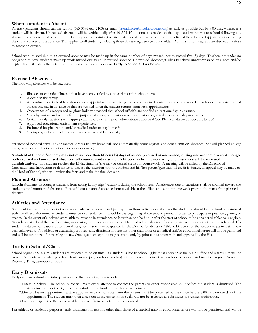#### **When a student is Absent**

Parents/guardians should call the school (563-3596 ext. 2103) or email (attendance@lincolnacademy.org) as early as possible but by 9:00 a.m. whenever a student will be absent. Unexcused absences will be verified daily after 10 AM. If no contact is made, on the day a student returns to school following any absence, the student must present a note from a parent explaining the circumstances of the absence or from the office of the scheduled appointment explaining the circumstances of the absence. This applies to all students, including those that are eighteen years and older. Administration may, at their discretion, refuse to accept an excuse.

School work missed due to an excused absence may be made up in the same number of days missed, not to exceed five (5) days. Teachers are under no obligation to have students make up work missed due to an unexcused absence. Unexcused absences/tardies-to-school unaccompanied by a note and/or explanation will follow the detention progression outlined under our **Tardy to School/Class Policy**.

### **Excused Absences**

The following absences will be Excused:

- 1. Illnesses or extended illnesses that have been verified by a physician or the school nurse.
- 2. A death in the family.
- 3. Appointments with health professionals or appointments for driving licenses or required court appearances provided the school officials are notified at least one day in advance or that are verified when the student returns from such appointments.
- 4. Observance of a recognized religious holiday provided that school officials are notified at least one day in advance.
- 5. Visits by juniors and seniors for the purpose of college admission when permission is granted at least one day in advance.
- 6. Certain family vacations with appropriate paperwork and prior administrative approval (See Planned Absence Procedure below)
- 7. Approved educational enrichment experiences.
- 8. Prolonged hospitalization and/or medical order to stay home.\*\*
- 9. Stormy days when traveling on snow and ice would be too risky.

\*\*Extended hospital stays and/or medical orders to stay home will not automatically count against a student's limit on absences, nor will planned college visits, or educational enrichment experiences (approved).

**A student at Lincoln Academy may not miss more than fifteen (15) days of school (excused or unexcused) during one academic year. Although both excused and unexcused absences will count towards a student's fifteen-day limit, extenuating circumstances will be reviewed administratively.** If a student reaches the 15-day limit, he/she may be denied credit for coursework. A meeting will be called by the Director of Curriculum and Instruction or designee to discuss the situation with the student and his/her parent/guardian. If credit is denied, an appeal may be made to the Head of School, who will review the facts and make the final decision.

#### **Planned Absences**

Lincoln Academy discourages students from taking family trips/vacations during the school year. All absences due to vacations shall be counted toward the student's total number of absences. Please fill out a planned absence form (available at the office) and submit it one week prior to the start of the planned absence.

#### **Athletics and Attendance**

A student involved in sports or other co-curricular activities may not participate in those activities on the days the student is absent from school or dismissed early for illness. Additionally, students must be in attendance at school by the beginning of the second period in order to participate in practices, games, or events. In the event of a delayed start, athletes must be in attendance no later than one-half hour after the start of school to be considered athletically eligible. Attendance at school the day following an evening event is always expected. Habitual school absences following an evening event will not be tolerated. If a student is absent for reasons other than illness, permission may be granted by the Dean of Students or Athletic Director for the student to participate in cocurricular events. For athletic or academic purposes, early dismissals for reasons other than those of a medical and/or educational nature will not be permitted and will be scrutinized for their legitimacy. Once again, exceptions may be made only by prior consultation with and approval by the Head.

### **Tardy to School/Class**

School begins at 8:00 a.m. Students are expected to be on time. If a student is late to school, (s)he must check in at the Main Office and a tardy slip will be issued. Students accumulating at least four tardy slips (to school or class) will be required to meet with school personnel and may be assigned Academic Recovery Time, detention or both.

#### **Early Dismissals**

Early dismissals should be infrequent and for the following reasons only:

- 1.Illness in School. The school nurse will make every attempt to contact the parents or other responsible adult before the student is dismissed. The Academy reserves the right to hold a student in school until such contact is made.
- 2.Doctor/Dentist appointments. The appointment card or note from the parents must be presented to the office before 8:00 a.m. on the day of the appointment. The student must then check out at the office. Phone calls will not be accepted as substitutes for written notification.
- 3.Family emergencies. Requests must be received from parents prior to dismissal.

For athletic or academic purposes, early dismissals for reasons other than those of a medical and/or educational nature will not be permitted, and will be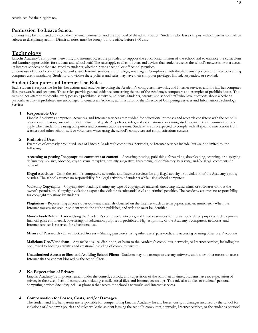#### **Permission To Leave School**

Students may be dismissed only with their parental permission and the approval of the administration. Students who leave campus without permission will be subject to disciplinary action. Dismissal notes must be brought to the office before 8:00 a.m.

### **Technology**

Lincoln Academy's computers, networks, and internet access are provided to support the educational mission of the school and to enhance the curriculum and learning opportunities for students and school staff. The rules apply to all computers and devices that students use on the school's networks or that access its internet services or that are issued to students, whether in use at school or off school premises.

Student use of school computers, networks, and Internet services is a privilege, not a right. Compliance with the Academy's policies and rules concerning computer use is mandatory. Students who violate these policies and rules may have their computer privileges limited, suspended, or revoked.

#### **Student Computer and Internet Use Rules**

Each student is responsible for his/her actions and activities involving the Academy's computers, networks, and Internet services, and for his/her computer files, passwords, and accounts. These rules provide general guidance concerning the use of the Academy's computers and examples of prohibited uses. The rules do not attempt to describe every possible prohibited activity by students. Students, parents, and school staff who have questions about whether a particular activity is prohibited are encouraged to contact an Academy administrator or the Director of Computing Services and Information Technology Services.

#### 1. **Responsible Use**

Lincoln Academy's computers, networks, and Internet services are provided for educational purposes and research consistent with the school's educational mission, curriculum, and instructional goals. All policies, rules, and expectations concerning student conduct and communications apply when students are using computers and communications systems. Students are also expected to comply with all specific instructions from teachers and other school staff or volunteers when using the school's computers and communications systems.

#### 2. **Prohibited Uses**

Examples of expressly prohibited uses of Lincoln Academy's computers, networks, or Internet services include, but are not limited to, the following:

**Accessing or posting Inappropriate comments or content** – Accessing, posting, publishing, forwarding, downloading, scanning, or displaying defamatory, abusive, obscene, vulgar, sexually explicit, sexually suggestive, threatening, discriminatory, harassing, and/or illegal comments or content.

**Illegal Activities** – Using the school's computers, networks, and Internet services for any illegal activity or in violation of the Academy's policy or rules. The school assumes no responsibility for illegal activities of students while using school computers.

**Violating Copyrights** – Copying, downloading, sharing any type of copyrighted materials (including music, films, or software) without the owner's permission. Copyright violations expose the violator to substantial civil and criminal penalties. The Academy assumes no responsibility for copyright violations by students.

**Plagiarism** – Representing as one's own work any materials obtained on the Internet (such as term papers, articles, music, etc.) When the Internet sources are used in student work, the author, publisher, and web site must be identified.

**Non-School-Related Uses** – Using the Academy's computers, networks, and Internet services for non-school-related purposes such as private financial gain; commercial, advertising, or solicitation purposes is prohibited. Highest priority of the Academy's computers, networks, and Internet services is reserved for educational use.

**Misuse of Passwords/Unauthorized Access** – Sharing passwords, using other users' passwords, and accessing or using other users' accounts.

**Malicious Use/Vandalism** – Any malicious use, disruption, or harm to the Academy's computers, networks, or Internet services, including but not limited to hacking activities and creation/uploading of computer viruses.

**Unauthorized Access to Sites and Avoiding School Filters -** Students may not attempt to use any software, utilities or other means to access Internet sites or content blocked by the school filters.

#### 3. **No Expectation of Privacy**

Lincoln Academy's computers remain under the control, custody, and supervision of the school at all times. Students have no expectation of privacy in their use of school computers, including e-mail, stored files, and Internet access logs. This rule also applies to students' personal computing devices (including cellular phones) that access the school's networks and Internet services.

#### 4. **Compensation for Losses, Costs, and/or Damages**

The student and his/her parents are responsible for compensating Lincoln Academy for any losses, costs, or damages incurred by the school for violations of Academy's policies and rules while the student is using the school's computers, networks, Internet services, or the student's personal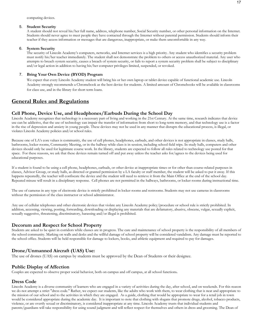computing devices.

#### 5. **Student Security**

A student should not reveal his/her full name, address, telephone number, Social Security number, or other personal information on the Internet. Students should never agree to meet people they have contacted through the Internet without parental permission. Students should inform their teacher if they access information or messages that are dangerous, inappropriate, or make them uncomfortable in any way.

#### 6. **System Security**

The security of Lincoln Academy's computers, networks, and Internet services is a high priority. Any student who identifies a security problem must notify his/her teacher immediately. The student shall not demonstrate the problem to others or access unauthorized material. Any user who attempts to breach system security, causes a breach of system security, or fails to report a system security problem shall be subject to disciplinary and/or legal action in addition to having his/her computer privileges limited, suspended, or revoked.

#### 7. **Bring Your Own Device (BYOD) Program**

We expect that every Lincoln Academy student will bring his or her own laptop or tablet device capable of functional academic use. Lincoln Academy strongly recommends a Chromebook as the best device for students. A limited amount of Chromebooks will be available in classrooms for class use, and in the library for short term loans.

# **General Rules and Regulations**

### **Cell Phone, Device Use, and Headphones/Earbuds During the School Day**

Lincoln Academy recognizes that technology is a necessary part of living and working in the 21st Century. At the same time, research indicates that device use can be addictive, that the use of technology can impair the transfer of information from short to long-term memory, and that technology use is a factor in the rise of depression and anxiety in young people. These devices may not be used in any manner that disrupts the educational process, is illegal, or violates Lincoln Academy policies and/or school rules.

Because one of LA's core values is community, the use of cell phones, headphones, earbuds, and other devices is not appropriate in classes, study halls, bathrooms, locker rooms, Community Meeting, or in the hallway while class is in session, including school field trips. In study halls, computers and other devices should only be used for legitimate course work. In the library, students are expected to follow all rules related to technology use posted for that space. For these reasons, we ask that these devices remain turned off and put away unless the teacher asks for/agrees to the devices being used for educational purposes.

If a student is found to be using a cell phone, headphones, earbuds, or other device at inappropriate times or for other than course-related purposes in classes, Advisor Group, or study halls, as directed or granted permission by a LA faculty or staff member, the student will be asked to put it away. If this happens repeatedly, the teacher will confiscate the device and the student will need to retrieve it from the Main Office at the end of the school day. Repeated misuse will result in a disciplinary response. Cell phones are not permitted in the hallways, bathrooms, or locker rooms during instructional time.

The use of cameras in any type of electronic device is strictly prohibited in locker rooms and restrooms. Students may not use cameras in classrooms without the permission of the class instructor or school administrator.

Any use of cellular telephones and other electronic devices that violate any Lincoln Academy policy/procedure or school rule is strictly prohibited. In addition, accessing, viewing, posting, forwarding, downloading or displaying any materials that are defamatory, abusive, obscene, vulgar, sexually explicit, sexually suggestive, threatening, discriminatory, harassing and/or illegal is prohibited.

### **Decorum and Respect for School Property**

Students are asked to be quiet in corridors while classes are in progress. The care and maintenance of school property is the responsibility of all members of the school community. Marking on walls and desks and the willful damage of school property will be considered vandalism. Any damage must be reported to the school office. Students will be held responsible for damage to lockers, books, and athletic equipment and required to pay for damages.

### **Drone/Unmanned Aircraft (UAS) Use:**

The use of drones (UAS) on campus by students must be approved by the Dean of Students or their designee.

### **Public Display of Affection**

Couples are expected to observe proper social behavior, both on campus and off campus, at all school functions**.**

# **Dress Code**

Lincoln Academy is a diverse community of learners who are engaged in a variety of activities during the day, after school, and on weekends. For this reason we do not attempt a strict "dress code." Rather, we expect our students, like the adults who work with them, to wear clothing that is neat and appropriate to the mission of our school and to the activities in which they are engaged. As a guide, clothing that would be appropriate to wear for a retail job in town would be considered appropriate during the academic day. It is important to note that clothing with slogans that promote drugs, alcohol, tobacco products, violence, or are overtly sexual or discriminatory, is considered inappropriate at any time. Lincoln Academy trusts that individual students and parents/guardians will take responsibility for using sound judgment and will reflect respect for themselves and others in dress and grooming. The Dean of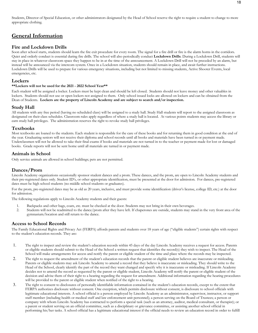Students, Director of Special Education, or other administrators designated by the Head of School reserve the right to require a student to change to more appropriate clothing.

# **General Information**

#### **Fire and Lockdown Drills**

Soon after school starts, students should learn the fire exit procedure for every room. The signal for a fire drill or fire is the alarm horns in the corridors. Quiet and orderly conduct is essential during fire drills. The school will also periodically conduct **Lockdown Drills**. During a Lockdown Drill, students will stay in place in whatever classroom space they happen to be in at the time of the announcement. A Lockdown Drill will not be preceded by an alarm, but instead will be announced via the intercom system. Once in a Lockdown situation, students should remain in place, and await further instructions. Lockdown Drills will be used to prepare for various emergency situations, including but not limited to missing students, Active Shooter Events, local emergencies, etc.

#### **Lockers**

#### **\*\*Lockers will not be used for the 2021 - 2022 School Year\*\***

Each student will be assigned a locker. Lockers must be kept clean and should be left closed. Students should not leave money and other valuables in lockers. Students should not use or open lockers not assigned to them. Only school issued locks are allowed on lockers and can be obtained from the Dean of Students. **Lockers are the property of Lincoln Academy and are subject to search and/or inspection.** 

### **Study Hall**

All students with any free period (having no scheduled class) will be assigned to a study hall. Study Hall students will report to the assigned classroom as designated on their class schedules. Classroom rules apply regardless of where a study hall is located. At various points students may access the library or earn study hall privileges. The administration reserves the right to revoke study hall privileges.

### **Textbooks**

Most textbooks are loaned to the students. Each student is responsible for the care of these books and for returning them in good condition at the end of the year. Graduating seniors will not receive their diploma and school records until all books and materials have been turned in or payment made. Underclassmen will not be allowed to take their final exams if books and materials are not turned in to the teacher or payment made for lost or damaged books. Grade reports will not be sent home until all materials are turned in or payment made.

### **Animals in School**

Only service animals are allowed in school buildings; pets are not permitted.

### **Dances/Prom**

Lincoln Academy organizations occasionally sponsor student dances and a prom. These dances, and the prom, are open to Lincoln Academy students and their pre-registered dates only. Student ID's, or other appropriate identification, must be presented at the door for admission. For dances, pre-registered dates must be high school students (no middle school students or graduates).

For the prom, pre-registered dates may be as old as 20 years, inclusive, and must provide some identification (driver's license, college ID, etc.) at the door for admission.

The following regulations apply to Lincoln Academy students and their guests:

- 1. Backpacks and other bags, coats, etc. must be checked at the door. Students may not bring in their own beverages.<br>2. Students will not be readmitted to the dance/orom after they have left. If chaperones are outside, stu
- Students will not be readmitted to the dance/prom after they have left. If chaperones are outside, students may stand in the very front area of the gymnasium/location and still return to the dance.

### **Access to School Records**

The Family Educational Rights and Privacy Act (FERPA) affords parents and students over 18 years of age ("eligible students") certain rights with respect to the student's education records. They are:

- 1. The right to inspect and review the student's education records within 45 days of the day Lincoln Academy receives a request for access. Parents or eligible students should submit to the Head of the School a written request that identifies the record(s) they wish to inspect. The Head of the School will make arrangements for access and notify the parent or eligible student of the time and place where the records may be inspected.
- 2. The right to request the amendment of the student's education records that the parent or eligible student believes are inaccurate or misleading. Parents or eligible students may ask Lincoln Academy to amend a record that they believe is inaccurate or misleading. They should write to the Head of the School, clearly identify the part of the record they want changed and specify why it is inaccurate or misleading. If Lincoln Academy decides not to amend the record as requested by the parent or eligible student, Lincoln Academy will notify the parent or eligible student of the decision and advise them of their right to a hearing regarding the request for amendment. Additional information regarding the hearing procedures will be provided to the parent or eligible student when notified of the right to a hearing.
- 3. The right to consent to disclosures of personally identifiable information contained in the student's education records, except to the extent that FERPA authorizes disclosure without consent. One exception, which permits disclosure without consent, is disclosure to school officials with legitimate educational interests. A school official is a person employed by Lincoln Academy as an administrator, supervisor, instructor, or support staff member (including health or medical staff and law enforcement unit personnel); a person serving on the Board of Trustees; a person or company with whom Lincoln Academy has contracted to perform a special task (such as an attorney, auditor, medical consultant, or therapist); or a parent or student serving on an official committee, such as a disciplinary or grievance committee, or assisting another school official in performing his/her tasks. A school official has a legitimate educational interest if the official needs to review an education record in order to fulfill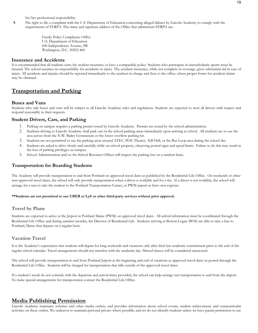his/her professional responsibility.

4. The right to file a complaint with the U.S. Department of Education concerning alleged failures by Lincoln Academy to comply with the requirements of FERPA. The name and signature address of the Office that administers FERPA are:

> Family Policy Compliance Office U.S. Department of Education 600 Independence Avenue, SW Washington, D.C. 20202-460

### **Insurance and Accidents**

It is recommended that all students carry the student insurance or have a comparable policy. Students who participate in interscholastic sports must be insured. The school assumes no responsibility for accidents or injury. The accident insurance, while not complete in coverage, gives substantial aid in case of injury. All accidents and injuries should be reported immediately to the teachers in charge and then to the office, where proper forms for accident claims may be obtained.

# **Transportation and Parking**

#### **Buses and Vans**

Students who ride buses and vans will be subject to all Lincoln Academy rules and regulations. Students are expected to treat all drivers with respect and respond reasonably to their requests.

### **Student Drivers, Cars, and Parking**

- 1. Parking on campus requires a parking permit issued by Lincoln Academy. Permits are issued by the school administration.
- 2. Students driving to Lincoln Academy shall park cars in the school parking areas immediately upon arriving at school. All students are to use the area across from the N.W. Bailey Gymnasium or the lower overflow parking lot.
- 3. Students are not permitted to use the parking areas around ATEC, POE Theater, KB Hall, or the Bus Loop area during the school day.
- 4. Students are asked to drive slowly and carefully while on school property, observing posted signs and speed limits. Failure to do this may result in the loss of parking privileges on campus.
- 5. School Administration and/or the School Resource Officer will inspect the parking lots on a random basis.

### **Transportation for Boarding Students**

The Academy will provide transportation to and from Portland on approved travel dates as published by the Residential Life Office. On weekends or other non-approved travel dates, the school will only provide transportation when a driver is available and for a fee. If a driver is not available, the school will arrange for a taxi to take the student to the Portland Transportation Center, or PWM airport at their own expense.

#### **\*\*Students are not permitted to use UBER or Lyft or other third-party services without prior approval.**

#### **Travel by Plane**

Students are expected to arrive at the Jetport in Portland Maine (PWM) on approved travel dates. All arrival information must be coordinated through the Residential Life Office and during summer months, the Director of Residential Life. Students arriving at Boston Logan (BOS) are able to take a bus to Portland, Maine that departs on a regular basis.

### **Vacation Travel**

It is the Academy's expectation that students will depart for long weekends and vacations only after their last academic commitment prior to the end of the regular school calendar. Travel arrangements should not interfere with the academic day. Missed classes will be considered unexcused.

The school will provide transportation to and from Portland Jetport at the beginning and end of vacations as approved travel dates as posted through the Residential Life Office. Students will be charged for transportation that falls outside of the approved travel dates.

If a student's needs do not coincide with the departure and arrival times provided, the school can help arrange taxi transportation to and from the airport. To make special arrangements for transportation contact the Residential Life Office.

### **Media Publishing Permission**

Lincoln Academy maintains websites and other media outlets, and provides information about school events, student achievement, and extracurricular activities on these outlets. We endeavor to maintain personal privacy where possible, and we do not identify students unless we have parent permission to use